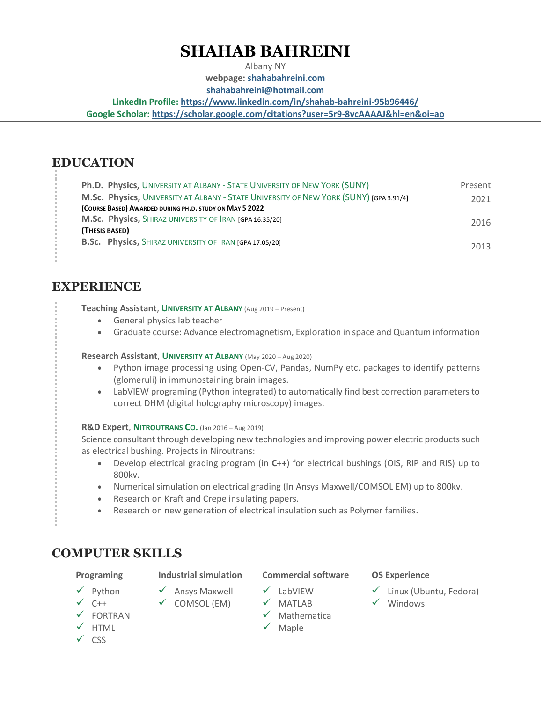# **SHAHAB BAHREINI**

Albany NY **webpage: [shahabahreini.com](https://shahabahreini.com/)**

**[shahabahreini@hotmail.com](mailto:shahabahreini@hotmail.com)**

**LinkedIn Profile[: https://www.linkedin.com/in/shahab-bahreini-95b96446/](https://www.linkedin.com/in/shahab-bahreini-95b96446/)**

**Google Scholar:<https://scholar.google.com/citations?user=5r9-8vcAAAAJ&hl=en&oi=ao>**

## **EDUCATION**

| Ph.D. Physics, UNIVERSITY AT ALBANY - STATE UNIVERSITY OF NEW YORK (SUNY)              | Present |
|----------------------------------------------------------------------------------------|---------|
| M.Sc. Physics, UNIVERSITY AT ALBANY - STATE UNIVERSITY OF NEW YORK (SUNY) [GPA 3.91/4] | 2021    |
| (COURSE BASED) AWARDED DURING PH.D. STUDY ON MAY 5 2022                                |         |
| M.Sc. Physics, SHIRAZ UNIVERSITY OF IRAN [GPA 16.35/20]                                | 2016    |
| (THESIS BASED)                                                                         |         |
| B.Sc. Physics, SHIRAZ UNIVERSITY OF IRAN [GPA 17.05/20]                                | 2013    |

## **EXPERIENCE**

**Teaching Assistant**, **UNIVERSITY AT ALBANY** (Aug 2019 – Present)

- General physics lab teacher
- Graduate course: Advance electromagnetism, Exploration in space and Quantum information

### **Research Assistant**, **UNIVERSITY AT ALBANY** (May 2020 – Aug 2020)

- Python image processing using Open-CV, Pandas, NumPy etc. packages to identify patterns (glomeruli) in immunostaining brain images.
- LabVIEW programing (Python integrated) to automatically find best correction parameters to correct DHM (digital holography microscopy) images.

### **R&D Expert**, **NITROUTRANS CO.** (Jan 2016 – Aug 2019)

Science consultant through developing new technologies and improving power electric products such as electrical bushing. Projects in Niroutrans:

- Develop electrical grading program (in **C++**) for electrical bushings (OIS, RIP and RIS) up to 800kv.
- Numerical simulation on electrical grading (In Ansys Maxwell/COMSOL EM) up to 800kv.
- Research on Kraft and Crepe insulating papers.
- Research on new generation of electrical insulation such as Polymer families.

## **COMPUTER SKILLS**

### **Programing Industrial simulation Commercial software OS Experience**

✓ Ansys Maxwell ✓ COMSOL (EM)

- ✓ Linux (Ubuntu, Fedora)
- ✓ MATLAB
- ✓ Mathematica
- ✓ Maple
- ✓ Python ✓ C++
- ✓ FORTRAN
- ✓ HTML
- 
- ✓ CSS

✓ Windows

- 
- ✓ LabVIEW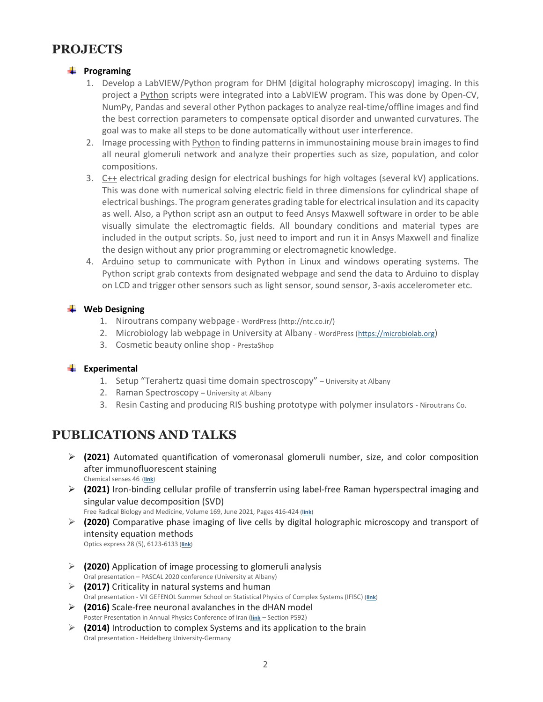## **PROJECTS**

### **Programing**

- 1. Develop a LabVIEW/Python program for DHM (digital holography microscopy) imaging. In this project a Python scripts were integrated into a LabVIEW program. This was done by Open-CV, NumPy, Pandas and several other Python packages to analyze real-time/offline images and find the best correction parameters to compensate optical disorder and unwanted curvatures. The goal was to make all steps to be done automatically without user interference.
- 2. Image processing with Python to finding patterns in immunostaining mouse brain images to find all neural glomeruli network and analyze their properties such as size, population, and color compositions.
- 3. C++ electrical grading design for electrical bushings for high voltages (several kV) applications. This was done with numerical solving electric field in three dimensions for cylindrical shape of electrical bushings. The program generates grading table for electrical insulation and its capacity as well. Also, a Python script asn an output to feed Ansys Maxwell software in order to be able visually simulate the electromagtic fields. All boundary conditions and material types are included in the output scripts. So, just need to import and run it in Ansys Maxwell and finalize the design without any prior programming or electromagnetic knowledge.
- 4. Arduino setup to communicate with Python in Linux and windows operating systems. The Python script grab contexts from designated webpage and send the data to Arduino to display on LCD and trigger other sensors such as light sensor, sound sensor, 3-axis accelerometer etc.

### **Web Designing**

- 1. Niroutrans company webpage WordPress [\(http://ntc.co.ir/\)](http://ntc.co.ir/)
- 2. Microbiology lab webpage in University at Albany WordPress [\(https://microbiolab.org](https://microbiolab.org/))
- 3. Cosmetic beauty online shop PrestaShop

### **Experimental**

- 1. Setup "Terahertz quasi time domain spectroscopy" University at Albany
- 2. Raman Spectroscopy University at Albany
- 3. Resin Casting and producing RIS bushing prototype with polymer insulators Niroutrans Co.

## **PUBLICATIONS AND TALKS**

➢ **(2021)** Automated quantification of vomeronasal glomeruli number, size, and color composition after immunofluorescent staining

Chemical senses 46 (**[link](https://doi.org/10.1093/chemse/bjab039)**)

➢ **(2021)** Iron-binding cellular profile of transferrin using label-free Raman hyperspectral imaging and singular value decomposition (SVD)

Free Radical Biology and Medicine, Volume 169, June 2021, Pages 416-424 (**[link](https://doi.org/10.1016/j.freeradbiomed.2021.04.030)**)

➢ **(2020)** Comparative phase imaging of live cells by digital holographic microscopy and transport of intensity equation methods

Optics express 28 (5), 6123-6133 (**[link](https://doi.org/10.1364/OE.385854)**)

- ➢ **(2020)** Application of image processing to glomeruli analysis Oral presentation – PASCAL 2020 conference (University at Albany) ➢ **(2017)** Criticality in natural systems and human
- Oral presentation VII GEFENOL Summer School on Statistical Physics of Complex Systems (IFISC) (**[link](https://www.ai-sf.it/dbicps/documents/AbstractBooklet.pdf)**)
- ➢ **(2016)** Scale-free neuronal avalanches in the dHAN model Poster Presentation in Annual Physics Conference of Iran (**[link](https://www.psi.ir/farsi.asp?page=physics95)** – Section P592)
- ➢ **(2014)** Introduction to complex Systems and its application to the brain Oral presentation - Heidelberg University-Germany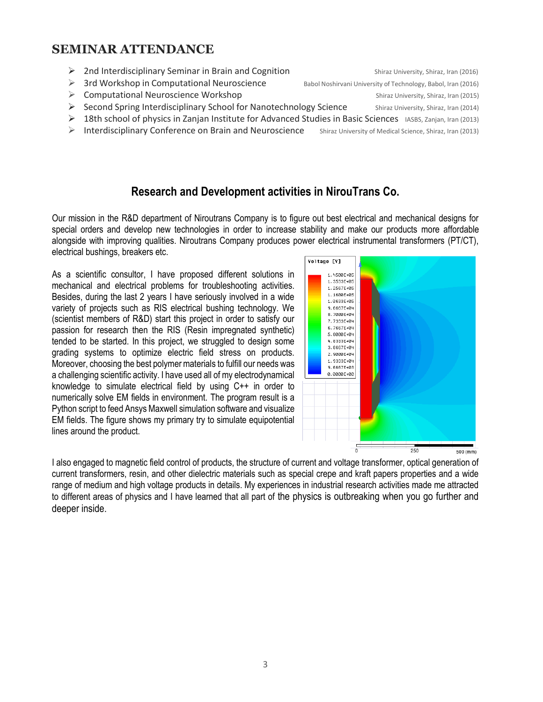## **SEMINAR ATTENDANCE**

▶ 2nd Interdisciplinary Seminar in Brain and Cognition Shiraz University, Shiraz, Iran (2016) ➢ 3rd Workshop in Computational Neuroscience Babol Noshirvani University of Technology, Babol, Iran (2016) ➢ Computational Neuroscience Workshop Shiraz University, Shiraz, Iran (2015) ➢ Second Spring Interdisciplinary School for Nanotechnology Science Shiraz University, Shiraz, Iran (2014)  $\triangleright$  18th school of physics in Zanjan Institute for Advanced Studies in Basic Sciences IASBS, Zanjan, Iran (2013) ➢ Interdisciplinary Conference on Brain and Neuroscience Shiraz University of Medical Science, Shiraz, Iran (2013)

## **Research and Development activities in NirouTrans Co.**

Our mission in the R&D department of Niroutrans Company is to figure out best electrical and mechanical designs for special orders and develop new technologies in order to increase stability and make our products more affordable alongside with improving qualities. Niroutrans Company produces power electrical instrumental transformers (PT/CT), electrical bushings, breakers etc.

As a scientific consultor, I have proposed different solutions in mechanical and electrical problems for troubleshooting activities. Besides, during the last 2 years I have seriously involved in a wide variety of projects such as RIS electrical bushing technology. We (scientist members of R&D) start this project in order to satisfy our passion for research then the RIS (Resin impregnated synthetic) tended to be started. In this project, we struggled to design some grading systems to optimize electric field stress on products. Moreover, choosing the best polymer materials to fulfill our needs was a challenging scientific activity. I have used all of my electrodynamical knowledge to simulate electrical field by using C++ in order to numerically solve EM fields in environment. The program result is a Python script to feed Ansys Maxwell simulation software and visualize EM fields. The figure shows my primary try to simulate equipotential lines around the product.



I also engaged to magnetic field control of products, the structure of current and voltage transformer, optical generation of current transformers, resin, and other dielectric materials such as special crepe and kraft papers properties and a wide range of medium and high voltage products in details. My experiences in industrial research activities made me attracted to different areas of physics and I have learned that all part of the physics is outbreaking when you go further and deeper inside.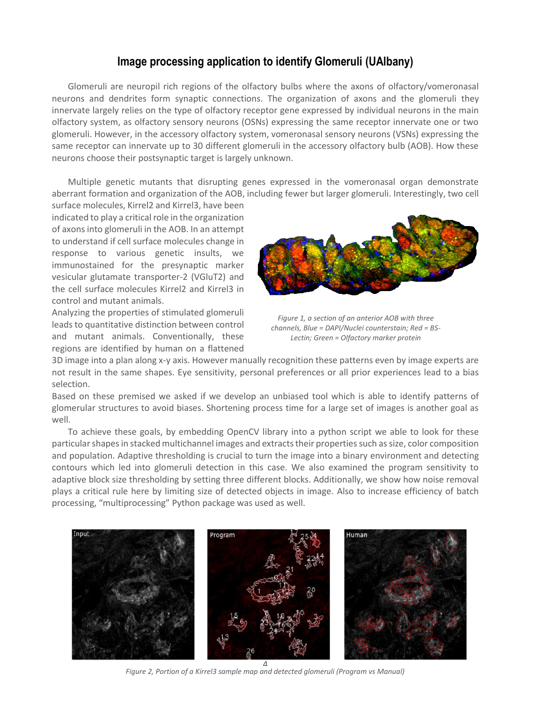## **Image processing application to identify Glomeruli (UAlbany)**

Glomeruli are neuropil rich regions of the olfactory bulbs where the axons of olfactory/vomeronasal neurons and dendrites form synaptic connections. The organization of axons and the glomeruli they innervate largely relies on the type of olfactory receptor gene expressed by individual neurons in the main olfactory system, as olfactory sensory neurons (OSNs) expressing the same receptor innervate one or two glomeruli. However, in the accessory olfactory system, vomeronasal sensory neurons (VSNs) expressing the same receptor can innervate up to 30 different glomeruli in the accessory olfactory bulb (AOB). How these neurons choose their postsynaptic target is largely unknown.

Multiple genetic mutants that disrupting genes expressed in the vomeronasal organ demonstrate aberrant formation and organization of the AOB, including fewer but larger glomeruli. Interestingly, two cell

surface molecules, Kirrel2 and Kirrel3, have been indicated to play a critical role in the organization of axons into glomeruli in the AOB. In an attempt to understand if cell surface molecules change in response to various genetic insults, we immunostained for the presynaptic marker vesicular glutamate transporter-2 (VGluT2) and the cell surface molecules Kirrel2 and Kirrel3 in control and mutant animals.

Analyzing the properties of stimulated glomeruli leads to quantitative distinction between control and mutant animals. Conventionally, these regions are identified by human on a flattened



*Figure 1, a section of an anterior AOB with three channels, Blue = DAPI/Nuclei counterstain; Red = BS-Lectin; Green = Olfactory marker protein*

3D image into a plan along x-y axis. However manually recognition these patterns even by image experts are not result in the same shapes. Eye sensitivity, personal preferences or all prior experiences lead to a bias selection.

Based on these premised we asked if we develop an unbiased tool which is able to identify patterns of glomerular structures to avoid biases. Shortening process time for a large set of images is another goal as well.

To achieve these goals, by embedding OpenCV library into a python script we able to look for these particular shapes in stacked multichannel images and extracts their properties such as size, color composition and population. Adaptive thresholding is crucial to turn the image into a binary environment and detecting contours which led into glomeruli detection in this case. We also examined the program sensitivity to adaptive block size thresholding by setting three different blocks. Additionally, we show how noise removal plays a critical rule here by limiting size of detected objects in image. Also to increase efficiency of batch processing, "multiprocessing" Python package was used as well.



*Figure 2, Portion of a Kirrel3 sample map and detected glomeruli (Program vs Manual)*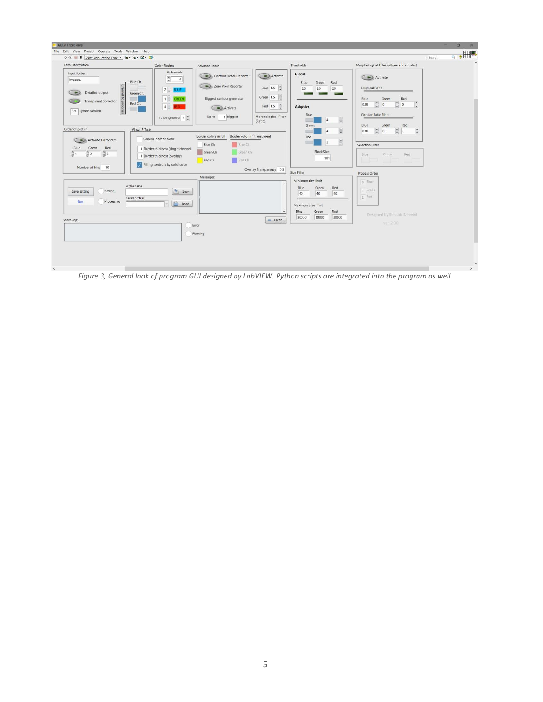